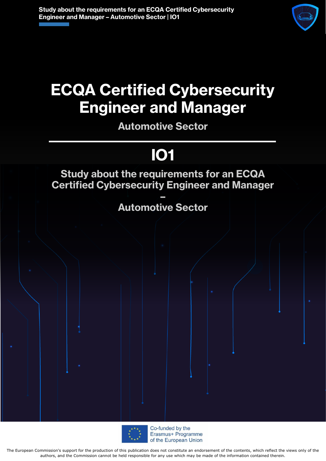

# **ECQA Certified Cybersecurity Engineer and Manager**

**Automotive Sector**

# **IO1**

### **Study about the requirements for an ECQA Certified Cybersecurity Engineer and Manager**

**– Automotive Sector**



Co-funded by the Erasmus+ Programme of the European Union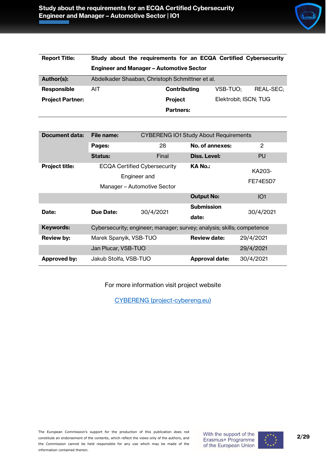

| <b>Report Title:</b>    | Study about the requirements for an ECQA Certified Cybersecurity |                  |                       |                  |
|-------------------------|------------------------------------------------------------------|------------------|-----------------------|------------------|
|                         | <b>Engineer and Manager - Automotive Sector</b>                  |                  |                       |                  |
| Author(s):              | Abdelkader Shaaban, Christoph Schmittner et al.                  |                  |                       |                  |
| <b>Responsible</b>      | <b>AIT</b>                                                       | Contributing     | VSB-TUO:              | <b>REAL-SEC:</b> |
| <b>Project Partner:</b> |                                                                  | <b>Project</b>   | Elektrobit; ISCN; TUG |                  |
|                         |                                                                  | <b>Partners:</b> |                       |                  |

| Document data:        | File name:             |                                                                        | <b>CYBERENG IO1 Study About Requirements</b> |                 |
|-----------------------|------------------------|------------------------------------------------------------------------|----------------------------------------------|-----------------|
|                       | Pages:                 | 28                                                                     | No. of annexes:                              | 2               |
|                       | <b>Status:</b>         | Final                                                                  | Diss. Level:                                 | <b>PU</b>       |
| <b>Project title:</b> |                        | <b>ECQA Certified Cybersecurity</b><br>Engineer and                    | <b>KA No.:</b>                               | KA203-          |
|                       |                        | Manager – Automotive Sector                                            |                                              | FE74E5D7        |
|                       |                        |                                                                        |                                              |                 |
|                       |                        |                                                                        | <b>Output No:</b>                            | IO <sub>1</sub> |
| Date:                 | Due Date:              | 30/4/2021                                                              | <b>Submission</b>                            | 30/4/2021       |
|                       |                        |                                                                        | date:                                        |                 |
| Keywords:             |                        | Cybersecurity; engineer; manager; survey; analysis; skills; competence |                                              |                 |
| <b>Review by:</b>     | Marek Spanyik, VSB-TUO |                                                                        | <b>Review date:</b>                          | 29/4/2021       |
|                       | Jan Plucar, VSB-TUO    |                                                                        |                                              | 29/4/2021       |
| <b>Approved by:</b>   | Jakub Stolfa, VSB-TUO  |                                                                        | <b>Approval date:</b>                        | 30/4/2021       |

For more information visit project website

[CYBERENG \(project-cybereng.eu\)](https://www.project-cybereng.eu/)

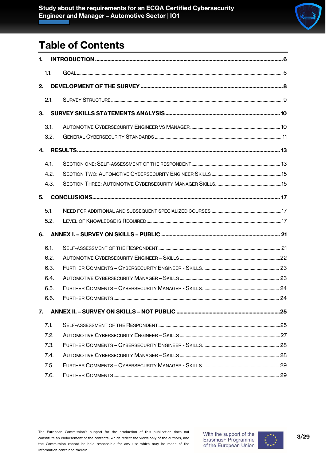

# **Table of Contents**

| 1. |      |  |
|----|------|--|
|    | 1.1. |  |
| 2. |      |  |
|    | 2.1. |  |
| 3. |      |  |
|    | 3.1. |  |
|    | 3.2. |  |
| 4. |      |  |
|    |      |  |
|    | 4.1. |  |
|    | 4.2. |  |
|    | 4.3. |  |
| 5. |      |  |
|    | 5.1. |  |
|    | 5.2. |  |
| 6. |      |  |
|    | 6.1. |  |
|    | 6.2. |  |
|    | 6.3. |  |
|    | 6.4. |  |
|    | 6.5. |  |
|    | 6.6. |  |
| 7. |      |  |
|    | 7.1. |  |
|    | 7.2. |  |
|    | 7.3. |  |
|    | 7.4. |  |
|    | 7.5. |  |
|    | 7.6. |  |

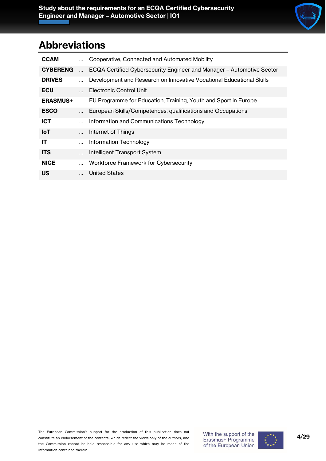## **Abbreviations**

|           | Cooperative, Connected and Automated Mobility                         |
|-----------|-----------------------------------------------------------------------|
| $\ddotsc$ | ECQA Certified Cybersecurity Engineer and Manager - Automotive Sector |
|           | Development and Research on Innovative Vocational Educational Skills  |
|           | Electronic Control Unit                                               |
|           | EU Programme for Education, Training, Youth and Sport in Europe       |
|           | European Skills/Competences, qualifications and Occupations           |
|           | Information and Communications Technology                             |
|           | Internet of Things                                                    |
|           | Information Technology                                                |
|           | Intelligent Transport System                                          |
|           | Workforce Framework for Cybersecurity                                 |
|           | <b>United States</b>                                                  |
|           |                                                                       |

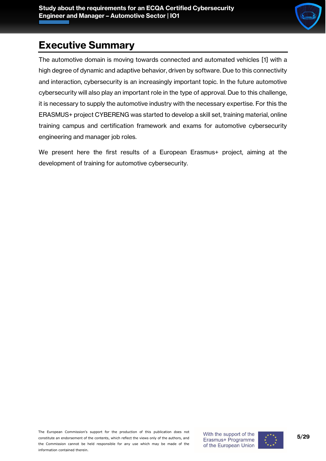

# **Executive Summary**

The automotive domain is moving towards connected and automated vehicles [1] with a high degree of dynamic and adaptive behavior, driven by software. Due to this connectivity and interaction, cybersecurity is an increasingly important topic. In the future automotive cybersecurity will also play an important role in the type of approval. Due to this challenge, it is necessary to supply the automotive industry with the necessary expertise. For this the ERASMUS+ project CYBERENG was started to develop a skill set, training material, online training campus and certification framework and exams for automotive cybersecurity engineering and manager job roles.

We present here the first results of a European Erasmus+ project, aiming at the development of training for automotive cybersecurity.

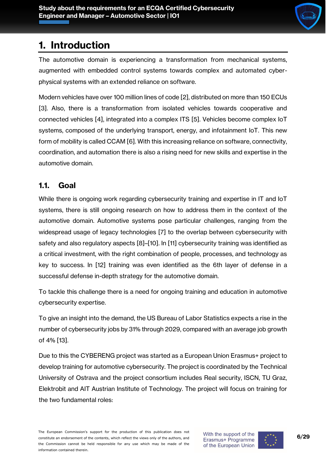

## <span id="page-5-0"></span>**1. Introduction**

The automotive domain is experiencing a transformation from mechanical systems, augmented with embedded control systems towards complex and automated cyberphysical systems with an extended reliance on software.

Modern vehicles have over 100 million lines of code [2], distributed on more than 150 ECUs [3]. Also, there is a transformation from isolated vehicles towards cooperative and connected vehicles [4], integrated into a complex ITS [5]. Vehicles become complex IoT systems, composed of the underlying transport, energy, and infotainment IoT. This new form of mobility is called CCAM [6]. With this increasing reliance on software, connectivity, coordination, and automation there is also a rising need for new skills and expertise in the automotive domain.

#### <span id="page-5-1"></span>**1.1. Goal**

While there is ongoing work regarding cybersecurity training and expertise in IT and IoT systems, there is still ongoing research on how to address them in the context of the automotive domain. Automotive systems pose particular challenges, ranging from the widespread usage of legacy technologies [7] to the overlap between cybersecurity with safety and also regulatory aspects [8]–[10]. In [11] cybersecurity training was identified as a critical investment, with the right combination of people, processes, and technology as key to success. In [12] training was even identified as the 6th layer of defense in a successful defense in-depth strategy for the automotive domain.

To tackle this challenge there is a need for ongoing training and education in automotive cybersecurity expertise.

To give an insight into the demand, the US Bureau of Labor Statistics expects a rise in the number of cybersecurity jobs by 31% through 2029, compared with an average job growth of 4% [13].

Due to this the CYBERENG project was started as a European Union Erasmus+ project to develop training for automotive cybersecurity. The project is coordinated by the Technical University of Ostrava and the project consortium includes Real security, ISCN, TU Graz, Elektrobit and AIT Austrian Institute of Technology. The project will focus on training for the two fundamental roles:

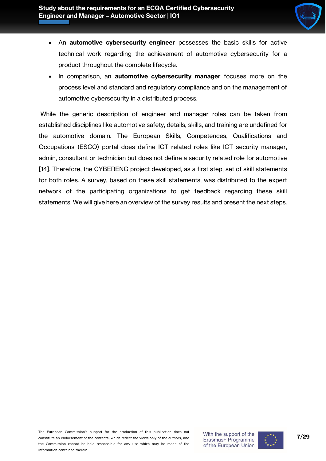

- An **automotive cybersecurity engineer** possesses the basic skills for active technical work regarding the achievement of automotive cybersecurity for a product throughout the complete lifecycle.
- In comparison, an **automotive cybersecurity manager** focuses more on the process level and standard and regulatory compliance and on the management of automotive cybersecurity in a distributed process.

While the generic description of engineer and manager roles can be taken from established disciplines like automotive safety, details, skills, and training are undefined for the automotive domain. The European Skills, Competences, Qualifications and Occupations (ESCO) portal does define ICT related roles like ICT security manager, admin, consultant or technician but does not define a security related role for automotive [14]. Therefore, the CYBERENG project developed, as a first step, set of skill statements for both roles. A survey, based on these skill statements, was distributed to the expert network of the participating organizations to get feedback regarding these skill statements. We will give here an overview of the survey results and present the next steps.

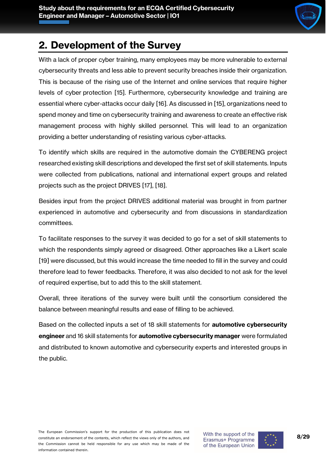

# <span id="page-7-0"></span>**2. Development of the Survey**

With a lack of proper cyber training, many employees may be more vulnerable to external cybersecurity threats and less able to prevent security breaches inside their organization. This is because of the rising use of the Internet and online services that require higher levels of cyber protection [15]. Furthermore, cybersecurity knowledge and training are essential where cyber-attacks occur daily [16]. As discussed in [15], organizations need to spend money and time on cybersecurity training and awareness to create an effective risk management process with highly skilled personnel. This will lead to an organization providing a better understanding of resisting various cyber-attacks.

To identify which skills are required in the automotive domain the CYBERENG project researched existing skill descriptions and developed the first set of skill statements. Inputs were collected from publications, national and international expert groups and related projects such as the project DRIVES [17], [18].

Besides input from the project DRIVES additional material was brought in from partner experienced in automotive and cybersecurity and from discussions in standardization committees.

To facilitate responses to the survey it was decided to go for a set of skill statements to which the respondents simply agreed or disagreed. Other approaches like a Likert scale [19] were discussed, but this would increase the time needed to fill in the survey and could therefore lead to fewer feedbacks. Therefore, it was also decided to not ask for the level of required expertise, but to add this to the skill statement.

Overall, three iterations of the survey were built until the consortium considered the balance between meaningful results and ease of filling to be achieved.

Based on the collected inputs a set of 18 skill statements for **automotive cybersecurity engineer** and 16 skill statements for **automotive cybersecurity manager** were formulated and distributed to known automotive and cybersecurity experts and interested groups in the public.

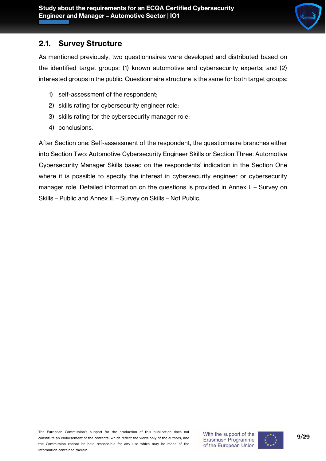

#### <span id="page-8-0"></span>**2.1. Survey Structure**

As mentioned previously, two questionnaires were developed and distributed based on the identified target groups: (1) known automotive and cybersecurity experts; and (2) interested groups in the public. Questionnaire structure is the same for both target groups:

- 1) self-assessment of the respondent;
- 2) skills rating for cybersecurity engineer role;
- 3) skills rating for the cybersecurity manager role;
- 4) conclusions.

After [Section one: Self-assessment of the respondent,](#page-12-1) the questionnaire branches either into [Section Two: Automotive Cybersecurity Engineer Skills](#page-14-0) or [Section Three: Automotive](#page-14-1)  [Cybersecurity Manager Skills](#page-14-1) based on the respondents' indication in the Section One where it is possible to specify the interest in cybersecurity engineer or cybersecurity manager role. Detailed information on the questions is provided in Annex I. – [Survey on](#page-20-0)  Skills – [Public](#page-20-0) and Annex II. – [Survey on Skills](#page-24-0) – Not Public.

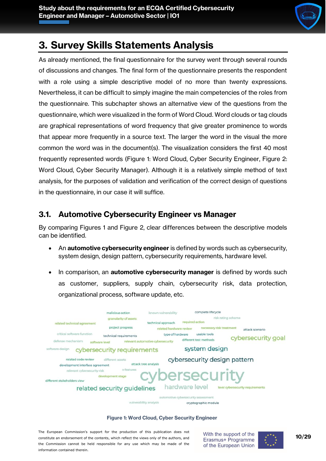

# <span id="page-9-0"></span>**3. Survey Skills Statements Analysis**

As already mentioned, the final questionnaire for the survey went through several rounds of discussions and changes. The final form of the questionnaire presents the respondent with a role using a simple descriptive model of no more than twenty expressions. Nevertheless, it can be difficult to simply imagine the main competencies of the roles from the questionnaire. This subchapter shows an alternative view of the questions from the questionnaire, which were visualized in the form of Word Cloud. Word clouds or tag clouds are graphical representations of word frequency that give greater prominence to words that appear more frequently in a source text. The larger the word in the visual the more common the word was in the document(s). The visualization considers the first 40 most frequently represented words [\(Figure 1: Word Cloud, Cyber Security Engineer,](#page-9-2) [Figure 2:](#page-10-1)  [Word Cloud, Cyber Security Manager\)](#page-10-1). Although it is a relatively simple method of text analysis, for the purposes of validation and verification of the correct design of questions in the questionnaire, in our case it will suffice.

### <span id="page-9-1"></span>**3.1. Automotive Cybersecurity Engineer vs Manager**

By comparing Figures 1 and Figure 2, clear differences between the descriptive models can be identified.

- An **automotive cybersecurity engineer** is defined by words such as cybersecurity, system design, design pattern, cybersecurity requirements, hardware level.
- In comparison, an **automotive cybersecurity manager** is defined by words such as customer, suppliers, supply chain, cybersecurity risk, data protection, organizational process, software update, etc.



vulnerability analysis cryptographic module

#### **Figure 1: Word Cloud, Cyber Security Engineer**

<span id="page-9-2"></span>The European Commission's support for the production of this publication does not constitute an endorsement of the contents, which reflect the views only of the authors, and the Commission cannot be held responsible for any use which may be made of the information contained therein.



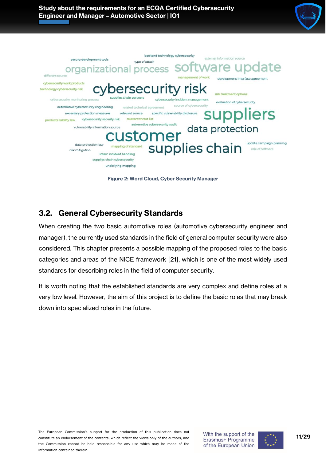



**Figure 2: Word Cloud, Cyber Security Manager**

#### <span id="page-10-1"></span><span id="page-10-0"></span>**3.2. General Cybersecurity Standards**

When creating the two basic automotive roles (automotive cybersecurity engineer and manager), the currently used standards in the field of general computer security were also considered. This chapter presents a possible mapping of the proposed roles to the basic categories and areas of the NICE framework [21], which is one of the most widely used standards for describing roles in the field of computer security.

It is worth noting that the established standards are very complex and define roles at a very low level. However, the aim of this project is to define the basic roles that may break down into specialized roles in the future.

The European Commission's support for the production of this publication does not constitute an endorsement of the contents, which reflect the views only of the authors, and the Commission cannot be held responsible for any use which may be made of the information contained therein.



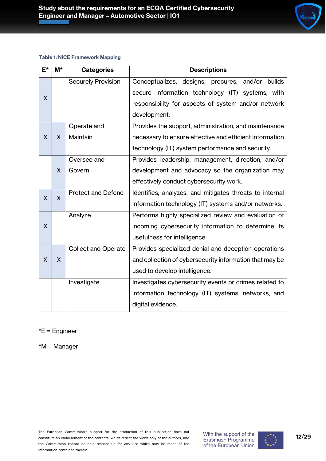#### **Table 1: NICE Framework Mapping**

| $E^{\star}$                         | $M^*$ | <b>Categories</b>          | <b>Descriptions</b>                                     |  |  |
|-------------------------------------|-------|----------------------------|---------------------------------------------------------|--|--|
|                                     |       | <b>Securely Provision</b>  | Conceptualizes, designs, procures, and/or builds        |  |  |
| X                                   |       |                            | secure information technology (IT) systems, with        |  |  |
|                                     |       |                            | responsibility for aspects of system and/or network     |  |  |
|                                     |       |                            | development.                                            |  |  |
|                                     |       | Operate and                | Provides the support, administration, and maintenance   |  |  |
| X                                   | X     | Maintain                   | necessary to ensure effective and efficient information |  |  |
|                                     |       |                            | technology (IT) system performance and security.        |  |  |
|                                     |       | Oversee and                | Provides leadership, management, direction, and/or      |  |  |
|                                     | X     | Govern                     | development and advocacy so the organization may        |  |  |
|                                     |       |                            | effectively conduct cybersecurity work.                 |  |  |
| <b>Protect and Defend</b><br>X<br>X |       |                            | Identifies, analyzes, and mitigates threats to internal |  |  |
|                                     |       |                            | information technology (IT) systems and/or networks.    |  |  |
|                                     |       | Analyze                    | Performs highly specialized review and evaluation of    |  |  |
| X                                   |       |                            | incoming cybersecurity information to determine its     |  |  |
|                                     |       |                            | usefulness for intelligence.                            |  |  |
|                                     |       | <b>Collect and Operate</b> | Provides specialized denial and deception operations    |  |  |
| X                                   | X     |                            | and collection of cybersecurity information that may be |  |  |
|                                     |       |                            | used to develop intelligence.                           |  |  |
|                                     |       | Investigate                | Investigates cybersecurity events or crimes related to  |  |  |
|                                     |       |                            | information technology (IT) systems, networks, and      |  |  |
|                                     |       |                            | digital evidence.                                       |  |  |

#### \*E = Engineer

\*M = Manager

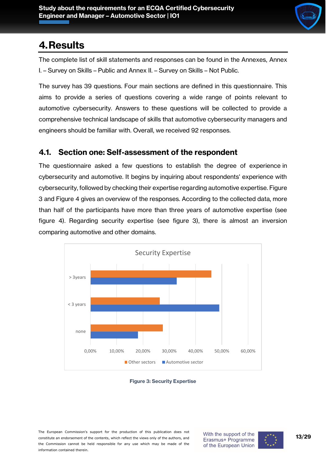

# <span id="page-12-0"></span>**4.Results**

The complete list of skill statements and responses can be found in the Annexes, [Annex](#page-20-0)  I. – [Survey on Skills](#page-20-0) – Public and Annex II. – [Survey on Skills](#page-24-0) – Not Public.

The survey has 39 questions. Four main sections are defined in this questionnaire. This aims to provide a series of questions covering a wide range of points relevant to automotive cybersecurity. Answers to these questions will be collected to provide a comprehensive technical landscape of skills that automotive cybersecurity managers and engineers should be familiar with. Overall, we received 92 responses.

#### <span id="page-12-1"></span>**4.1. Section one: Self-assessment of the respondent**

The questionnaire asked a few questions to establish the degree of experience in cybersecurity and automotive. It begins by inquiring about respondents' experience with cybersecurity, followed by checking their expertise regarding automotive expertise. [Figure](#page-12-2)  [3](#page-12-2) and [Figure 4](#page-13-0) gives an overview of the responses. According to the collected data, more than half of the participants have more than three years of automotive expertise (see figure 4). Regarding security expertise (see figure 3), there is almost an inversion comparing automotive and other domains.



<span id="page-12-2"></span>



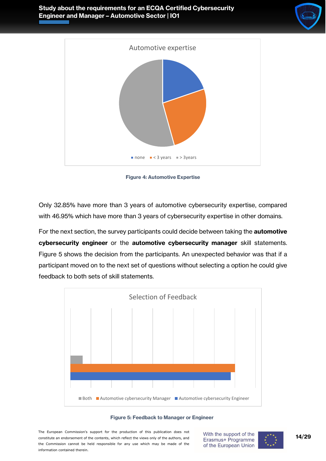





**Figure 4: Automotive Expertise**

<span id="page-13-0"></span>Only 32.85% have more than 3 years of automotive cybersecurity expertise, compared with 46.95% which have more than 3 years of cybersecurity expertise in other domains.

For the next section, the survey participants could decide between taking the **automotive cybersecurity engineer** or the **automotive cybersecurity manager** skill statements. [Figure 5](#page-13-1) shows the decision from the participants. An unexpected behavior was that if a participant moved on to the next set of questions without selecting a option he could give feedback to both sets of skill statements.



**Figure 5: Feedback to Manager or Engineer**

<span id="page-13-1"></span>The European Commission's support for the production of this publication does not constitute an endorsement of the contents, which reflect the views only of the authors, and the Commission cannot be held responsible for any use which may be made of the information contained therein.

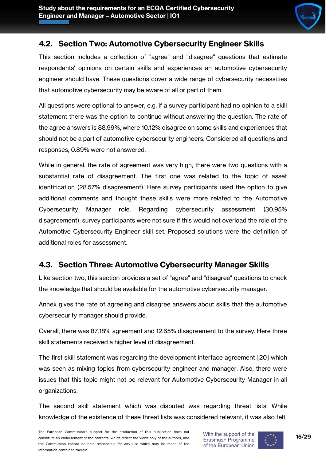

#### <span id="page-14-0"></span>**4.2. Section Two: Automotive Cybersecurity Engineer Skills**

This section includes a collection of "agree" and "disagree" questions that estimate respondents' opinions on certain skills and experiences an automotive cybersecurity engineer should have. These questions cover a wide range of cybersecurity necessities that automotive cybersecurity may be aware of all or part of them.

All questions were optional to answer, e.g. if a survey participant had no opinion to a skill statement there was the option to continue without answering the question. The rate of the agree answers is 88.99%, where 10.12% disagree on some skills and experiences that should not be a part of automotive cybersecurity engineers. Considered all questions and responses, 0.89% were not answered.

While in general, the rate of agreement was very high, there were two questions with a substantial rate of disagreement. The first one was related to the topic of asset identification (28.57% disagreement). Here survey participants used the option to give additional comments and thought these skills were more related to the Automotive Cybersecurity Manager role. Regarding cybersecurity assessment (30.95% disagreement), survey participants were not sure if this would not overload the role of the Automotive Cybersecurity Engineer skill set. Proposed solutions were the definition of additional roles for assessment.

#### <span id="page-14-1"></span>**4.3. Section Three: Automotive Cybersecurity Manager Skills**

Like section two, this section provides a set of "agree" and "disagree" questions to check the knowledge that should be available for the automotive cybersecurity manager.

Annex gives the rate of agreeing and disagree answers about skills that the automotive cybersecurity manager should provide.

Overall, there was 87.18% agreement and 12.65% disagreement to the survey. Here three skill statements received a higher level of disagreement.

The first skill statement was regarding the development interface agreement [20] which was seen as mixing topics from cybersecurity engineer and manager. Also, there were issues that this topic might not be relevant for Automotive Cybersecurity Manager in all organizations.

The second skill statement which was disputed was regarding threat lists. While knowledge of the existence of these threat lists was considered relevant, it was also felt

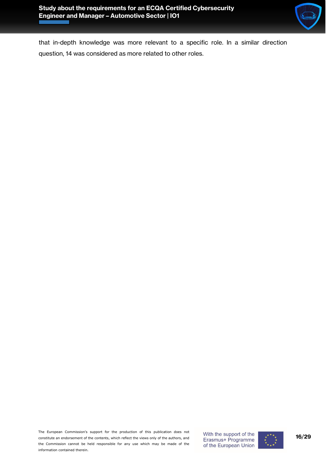

that in-depth knowledge was more relevant to a specific role. In a similar direction question, 14 was considered as more related to other roles.

The European Commission's support for the production of this publication does not constitute an endorsement of the contents, which reflect the views only of the authors, and the Commission cannot be held responsible for any use which may be made of the information contained therein.

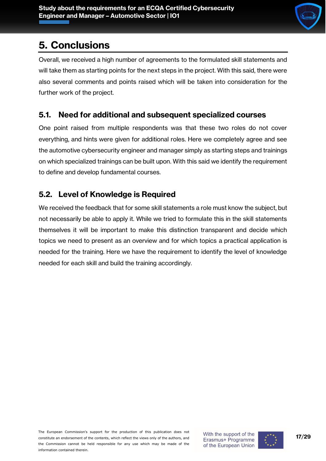## <span id="page-16-0"></span>**5. Conclusions**

Overall, we received a high number of agreements to the formulated skill statements and will take them as starting points for the next steps in the project. With this said, there were also several comments and points raised which will be taken into consideration for the further work of the project.

#### <span id="page-16-1"></span>**5.1. Need for additional and subsequent specialized courses**

One point raised from multiple respondents was that these two roles do not cover everything, and hints were given for additional roles. Here we completely agree and see the automotive cybersecurity engineer and manager simply as starting steps and trainings on which specialized trainings can be built upon. With this said we identify the requirement to define and develop fundamental courses.

#### <span id="page-16-2"></span>**5.2. Level of Knowledge is Required**

We received the feedback that for some skill statements a role must know the subject, but not necessarily be able to apply it. While we tried to formulate this in the skill statements themselves it will be important to make this distinction transparent and decide which topics we need to present as an overview and for which topics a practical application is needed for the training. Here we have the requirement to identify the level of knowledge needed for each skill and build the training accordingly.

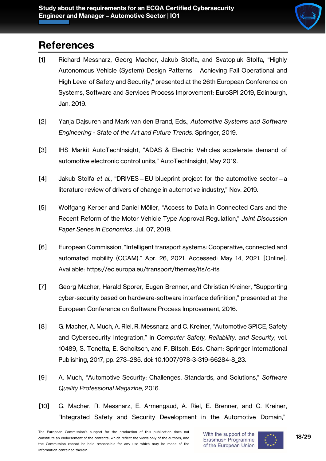

# **References**

- [1] Richard Messnarz, Georg Macher, Jakub Stolfa, and Svatopluk Stolfa, "Highly Autonomous Vehicle (System) Design Patterns – Achieving Fail Operational and High Level of Safety and Security," presented at the 26th European Conference on Systems, Software and Services Process Improvement: EuroSPI 2019, Edinburgh, Jan. 2019.
- [2] Yanja Dajsuren and Mark van den Brand, Eds., *Automotive Systems and Software Engineering - State of the Art and Future Trends*. Springer, 2019.
- [3] IHS Markit AutoTechInsight, "ADAS & Electric Vehicles accelerate demand of automotive electronic control units," AutoTechInsight, May 2019.
- [4] Jakub Stolfa *et al.*, "DRIVES—EU blueprint project for the automotive sector—a literature review of drivers of change in automotive industry," Nov. 2019.
- [5] Wolfgang Kerber and Daniel Möller, "Access to Data in Connected Cars and the Recent Reform of the Motor Vehicle Type Approval Regulation," *Joint Discussion Paper Series in Economics*, Jul. 07, 2019.
- [6] European Commission, "Intelligent transport systems: Cooperative, connected and automated mobility (CCAM)." Apr. 26, 2021. Accessed: May 14, 2021. [Online]. Available: https://ec.europa.eu/transport/themes/its/c-its
- [7] Georg Macher, Harald Sporer, Eugen Brenner, and Christian Kreiner, "Supporting cyber-security based on hardware-software interface definition," presented at the European Conference on Software Process Improvement, 2016.
- [8] G. Macher, A. Much, A. Riel, R. Messnarz, and C. Kreiner, "Automotive SPICE, Safety and Cybersecurity Integration," in *Computer Safety, Reliability, and Security*, vol. 10489, S. Tonetta, E. Schoitsch, and F. Bitsch, Eds. Cham: Springer International Publishing, 2017, pp. 273–285. doi: 10.1007/978-3-319-66284-8\_23.
- [9] A. Much, "Automotive Security: Challenges, Standards, and Solutions," *Software Quality Professional Magazine*, 2016.
- [10] G. Macher, R. Messnarz, E. Armengaud, A. Riel, E. Brenner, and C. Kreiner, "Integrated Safety and Security Development in the Automotive Domain,"



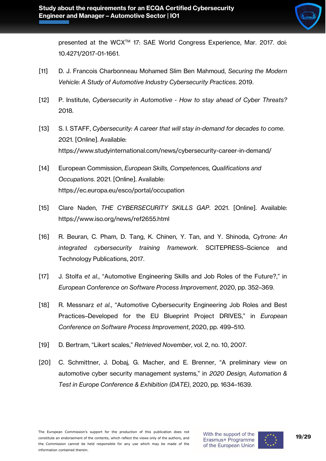

presented at the WCX<sup>™</sup> 17: SAE World Congress Experience, Mar. 2017. doi: 10.4271/2017-01-1661.

- [11] D. J. Francois Charbonneau Mohamed Slim Ben Mahmoud, *Securing the Modern Vehicle: A Study of Automotive Industry Cybersecurity Practices*. 2019.
- [12] P. Institute, *Cybersecurity in Automotive - How to stay ahead of Cyber Threats?* 2018.
- [13] S. I. STAFF, *Cybersecurity: A career that will stay in-demand for decades to come*. 2021. [Online]. Available: https://www.studyinternational.com/news/cybersecurity-career-in-demand/
- [14] European Commission, *European Skills, Competences, Qualifications and Occupations*. 2021. [Online]. Available: https://ec.europa.eu/esco/portal/occupation
- [15] Clare Naden, *THE CYBERSECURITY SKILLS GAP*. 2021. [Online]. Available: https://www.iso.org/news/ref2655.html
- [16] R. Beuran, C. Pham, D. Tang, K. Chinen, Y. Tan, and Y. Shinoda, *Cytrone: An integrated cybersecurity training framework*. SCITEPRESS–Science and Technology Publications, 2017.
- [17] J. Stolfa *et al.*, "Automotive Engineering Skills and Job Roles of the Future?," in *European Conference on Software Process Improvement*, 2020, pp. 352–369.
- [18] R. Messnarz *et al.*, "Automotive Cybersecurity Engineering Job Roles and Best Practices–Developed for the EU Blueprint Project DRIVES," in *European Conference on Software Process Improvement*, 2020, pp. 499–510.
- [19] D. Bertram, "Likert scales," *Retrieved November*, vol. 2, no. 10, 2007.
- [20] C. Schmittner, J. Dobaj, G. Macher, and E. Brenner, "A preliminary view on automotive cyber security management systems," in *2020 Design, Automation & Test in Europe Conference & Exhibition (DATE)*, 2020, pp. 1634–1639.

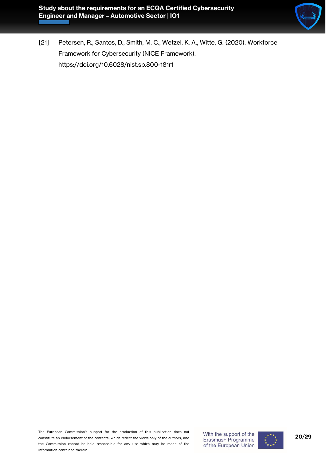

[21] Petersen, R., Santos, D., Smith, M. C., Wetzel, K. A., Witte, G. (2020). Workforce Framework for Cybersecurity (NICE Framework). https://doi.org/10.6028/nist.sp.800-181r1

The European Commission's support for the production of this publication does not constitute an endorsement of the contents, which reflect the views only of the authors, and the Commission cannot be held responsible for any use which may be made of the information contained therein.

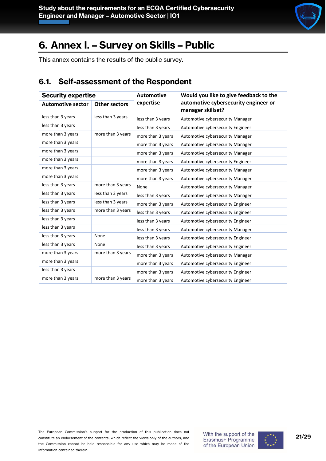

# <span id="page-20-0"></span>**6. Annex I. – Survey on Skills – Public**

This annex contains the results of the public survey.

#### <span id="page-20-1"></span>**6.1. Self-assessment of the Respondent**

| <b>Security expertise</b> |                      | <b>Automotive</b> | Would you like to give feedback to the                    |
|---------------------------|----------------------|-------------------|-----------------------------------------------------------|
| <b>Automotive sector</b>  | <b>Other sectors</b> | expertise         | automotive cybersecurity engineer or<br>manager skillset? |
| less than 3 years         | less than 3 years    | less than 3 years | Automotive cybersecurity Manager                          |
| less than 3 years         |                      | less than 3 years | Automotive cybersecurity Engineer                         |
| more than 3 years         | more than 3 years    | more than 3 years | Automotive cybersecurity Manager                          |
| more than 3 years         |                      | more than 3 years | Automotive cybersecurity Manager                          |
| more than 3 years         |                      | more than 3 years | Automotive cybersecurity Manager                          |
| more than 3 years         |                      | more than 3 years | Automotive cybersecurity Engineer                         |
| more than 3 years         |                      | more than 3 years | Automotive cybersecurity Manager                          |
| more than 3 years         |                      | more than 3 years | Automotive cybersecurity Manager                          |
| less than 3 years         | more than 3 years    | None              | Automotive cybersecurity Manager                          |
| less than 3 years         | less than 3 years    | less than 3 years | Automotive cybersecurity Manager                          |
| less than 3 years         | less than 3 years    | more than 3 years | Automotive cybersecurity Engineer                         |
| less than 3 years         | more than 3 years    | less than 3 years | Automotive cybersecurity Engineer                         |
| less than 3 years         |                      | less than 3 years | Automotive cybersecurity Engineer                         |
| less than 3 years         |                      | less than 3 years | Automotive cybersecurity Manager                          |
| less than 3 years         | None                 | less than 3 years | Automotive cybersecurity Engineer                         |
| less than 3 years         | None                 | less than 3 years | Automotive cybersecurity Engineer                         |
| more than 3 years         | more than 3 years    | more than 3 years | Automotive cybersecurity Manager                          |
| more than 3 years         |                      | more than 3 years | Automotive cybersecurity Engineer                         |
| less than 3 years         |                      | more than 3 years | Automotive cybersecurity Engineer                         |
| more than 3 years         | more than 3 years    | more than 3 years | Automotive cybersecurity Engineer                         |

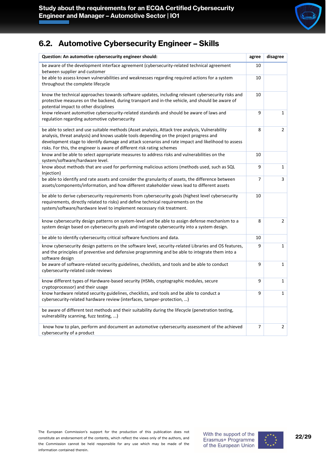

#### <span id="page-21-0"></span>**6.2. Automotive Cybersecurity Engineer – Skills**

| Question: An automotive cybersecurity engineer should:                                                                                                                                                                                                                                                                                                                      | agree | disagree       |
|-----------------------------------------------------------------------------------------------------------------------------------------------------------------------------------------------------------------------------------------------------------------------------------------------------------------------------------------------------------------------------|-------|----------------|
| be aware of the development interface agreement (cybersecurity-related technical agreement<br>between supplier and customer                                                                                                                                                                                                                                                 | 10    |                |
| be able to assess known vulnerabilities and weaknesses regarding required actions for a system<br>throughout the complete lifecycle                                                                                                                                                                                                                                         | 10    |                |
| know the technical approaches towards software updates, including relevant cybersecurity risks and<br>protective measures on the backend, during transport and in-the vehicle, and should be aware of<br>potential impact to other disciplines                                                                                                                              | 10    |                |
| know relevant automotive cybersecurity-related standards and should be aware of laws and<br>regulation regarding automotive cybersecurity                                                                                                                                                                                                                                   | 9     | $\mathbf{1}$   |
| be able to select and use suitable methods (Asset analysis, Attack tree analysis, Vulnerability<br>analysis, threat analysis) and knows usable tools depending on the project progress and<br>development stage to identify damage and attack scenarios and rate impact and likelihood to assess<br>risks. For this, the engineer is aware of different risk rating schemes | 8     | $\overline{2}$ |
| know and be able to select appropriate measures to address risks and vulnerabilities on the<br>system/software/hardware level.                                                                                                                                                                                                                                              | 10    |                |
| know about methods that are used for performing malicious actions (methods used, such as SQL<br>Injection)                                                                                                                                                                                                                                                                  | 9     | $\mathbf{1}$   |
| be able to identify and rate assets and consider the granularity of assets, the difference between<br>assets/components/information, and how different stakeholder views lead to different assets                                                                                                                                                                           | 7     | 3              |
| be able to derive cybersecurity requirements from cybersecurity goals (highest level cybersecurity<br>requirements, directly related to risks) and define technical requirements on the<br>system/software/hardware level to implement necessary risk treatment.                                                                                                            | 10    |                |
| know cybersecurity design patterns on system-level and be able to assign defense mechanism to a<br>system design based on cybersecurity goals and integrate cybersecurity into a system design.                                                                                                                                                                             | 8     | $\overline{2}$ |
| be able to identify cybersecurity critical software functions and data.                                                                                                                                                                                                                                                                                                     | 10    |                |
| know cybersecurity design patterns on the software level, security-related Libraries and OS features,<br>and the principles of preventive and defensive programming and be able to integrate them into a<br>software design                                                                                                                                                 | 9     | $\mathbf{1}$   |
| be aware of software-related security guidelines, checklists, and tools and be able to conduct<br>cybersecurity-related code reviews                                                                                                                                                                                                                                        | 9     | $\mathbf{1}$   |
| know different types of Hardware-based security (HSMs, cryptographic modules, secure<br>cryptoprocessor) and their usage                                                                                                                                                                                                                                                    | 9     | $\mathbf{1}$   |
| know hardware related security guidelines, checklists, and tools and be able to conduct a<br>cybersecurity-related hardware review (interfaces, tamper-protection, )                                                                                                                                                                                                        | 9     | $\mathbf{1}$   |
| be aware of different test methods and their suitability during the lifecycle (penetration testing,<br>vulnerability scanning, fuzz testing, )                                                                                                                                                                                                                              |       |                |
| know how to plan, perform and document an automotive cybersecurity assessment of the achieved<br>cybersecurity of a product                                                                                                                                                                                                                                                 | 7     | $\overline{2}$ |

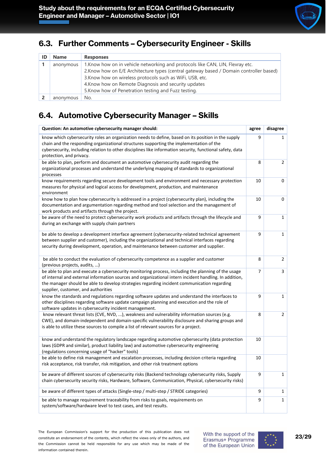#### <span id="page-22-0"></span>**6.3. Further Comments – Cybersecurity Engineer - Skills**

| <b>Name</b> | <b>Responses</b>                                                                                                                                                                                                                                                                                                                                       |
|-------------|--------------------------------------------------------------------------------------------------------------------------------------------------------------------------------------------------------------------------------------------------------------------------------------------------------------------------------------------------------|
| anonymous   | 1. Know how on in vehicle networking and protocols like CAN, LIN, Flexray etc.<br>2. Know how on E/E Architecture types (central gateway based / Domain controller based)<br>3. Know how on wireless protocols such as WiFi, USB, etc.<br>4. Know how on Remote Diagnosis and security updates<br>5. Know how of Penetration testing and Fuzz testing. |
| anonymous   | No.                                                                                                                                                                                                                                                                                                                                                    |

### <span id="page-22-1"></span>**6.4. Automotive Cybersecurity Manager – Skills**

| Question: An automotive cybersecurity manager should:                                                                                                                                                                                                                                                                                               | agree | disagree       |
|-----------------------------------------------------------------------------------------------------------------------------------------------------------------------------------------------------------------------------------------------------------------------------------------------------------------------------------------------------|-------|----------------|
| know which cybersecurity roles an organization needs to define, based on its position in the supply<br>chain and the responding organizational structures supporting the implementation of the<br>cybersecurity, including relation to other disciplines like information security, functional safety, data<br>protection, and privacy.             | 9     | $\mathbf{1}$   |
| be able to plan, perform and document an automotive cybersecurity audit regarding the<br>organizational processes and understand the underlying mapping of standards to organizational<br>processes                                                                                                                                                 | 8     | 2              |
| know requirements regarding secure development tools and environment and necessary protection<br>measures for physical and logical access for development, production, and maintenance<br>environment                                                                                                                                               | 10    | 0              |
| know how to plan how cybersecurity is addressed in a project (cybersecurity plan), including the<br>documentation and argumentation regarding method and tool selection and the management of<br>work products and artifacts through the project.                                                                                                   | 10    | 0              |
| be aware of the need to protect cybersecurity work products and artifacts through the lifecycle and<br>during an exchange with supply chain partners                                                                                                                                                                                                | 9     | $\mathbf 1$    |
| be able to develop a development interface agreement (cybersecurity-related technical agreement<br>between supplier and customer), including the organizational and technical interfaces regarding<br>security during development, operation, and maintenance between customer and supplier.                                                        | 9     | $\mathbf{1}$   |
| be able to conduct the evaluation of cybersecurity competence as a supplier and customer<br>(previous projects, audits, )                                                                                                                                                                                                                           | 8     | $\overline{2}$ |
| be able to plan and execute a cybersecurity monitoring process, including the planning of the usage<br>of internal and external information sources and organizational intern incident handling. In addition,<br>the manager should be able to develop strategies regarding incident communication regarding<br>supplier, customer, and authorities | 7     | 3              |
| know the standards and regulations regarding software updates and understand the interfaces to<br>other disciplines regarding software update campaign planning and execution and the role of<br>software updates in cybersecurity incident management.                                                                                             | 9     | $\mathbf{1}$   |
| know relevant threat lists (CVE, NVD, ), weakness and vulnerability information sources (e.g.<br>CWE), and domain-independent and domain-specific vulnerability disclosure and sharing groups and<br>is able to utilize these sources to compile a list of relevant sources for a project.                                                          | 8     | $\overline{2}$ |
| know and understand the regulatory landscape regarding automotive cybersecurity (data protection<br>laws (GDPR and similar), product liability law) and automotive cybersecurity engineering<br>(regulations concerning usage of "hacker" tools)                                                                                                    | 10    |                |
| be able to define risk management and escalation processes, including decision criteria regarding<br>risk acceptance, risk transfer, risk mitigation, and other risk treatment options                                                                                                                                                              | 10    |                |
| be aware of different sources of cybersecurity risks (Backend technology cybersecurity risks, Supply<br>chain cybersecurity security risks, Hardware, Software, Communication, Physical, cybersecurity risks)                                                                                                                                       | 9     | $\mathbf{1}$   |
| be aware of different types of attacks (Single-step / multi-step / STRIDE categories)                                                                                                                                                                                                                                                               | 9     | 1              |
| be able to manage requirement traceability from risks to goals, requirements on<br>system/software/hardware level to test cases, and test results.                                                                                                                                                                                                  | 9     | $\mathbf{1}$   |

The European Commission's support for the production of this publication does not constitute an endorsement of the contents, which reflect the views only of the authors, and the Commission cannot be held responsible for any use which may be made of the information contained therein.

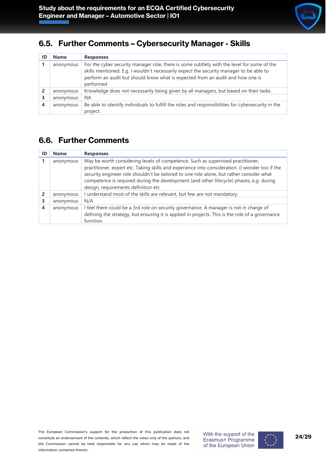#### <span id="page-23-0"></span>**6.5. Further Comments – Cybersecurity Manager - Skills**

| ID | <b>Name</b> | <b>Responses</b>                                                                                                                                                                                                                                                                     |
|----|-------------|--------------------------------------------------------------------------------------------------------------------------------------------------------------------------------------------------------------------------------------------------------------------------------------|
|    | anonymous   | For the cyber security manager role, there is some subtlety with the level for some of the<br>skills mentioned. E.g. I wouldn't necessarily expect the security manager to be able to<br>perform an audit but should know what is expected from an audit and how one is<br>performed |
|    | anonymous   | Knowledge does not necessarily being given by all managers, but based on their tasks.                                                                                                                                                                                                |
| 3  | anonymous   | <b>NA</b>                                                                                                                                                                                                                                                                            |
| 4  | anonymous   | Be able to identify individuals to fulfill the roles and responsibilities for cybersecurity in the<br>project.                                                                                                                                                                       |

#### <span id="page-23-1"></span>**6.6. Further Comments**

| ID | <b>Name</b> | <b>Responses</b>                                                                                                                                                                                                                                                                                                                                                                                                 |
|----|-------------|------------------------------------------------------------------------------------------------------------------------------------------------------------------------------------------------------------------------------------------------------------------------------------------------------------------------------------------------------------------------------------------------------------------|
|    | anonymous   | May be worth considering levels of competence. Such as supervised practitioner,<br>practitioner, expert etc. Taking skills and experience into consideration. (I wonder too if the<br>security engineer role shouldn't be tailored to one role alone, but rather consider what<br>competence is required during the development (and other lifecycle) phases, e.g. during<br>design, requirements definition etc |
|    | anonymous   | I understand most of the skills are relevant, but few are not mandatory.                                                                                                                                                                                                                                                                                                                                         |
| 3  | anonymous   | N/A                                                                                                                                                                                                                                                                                                                                                                                                              |
| 4  | anonymous   | I feel there could be a 3rd role on security governance. A manager is not in charge of<br>defining the strategy, but ensuring it is applied in projects. This is the role of a governance<br>function.                                                                                                                                                                                                           |

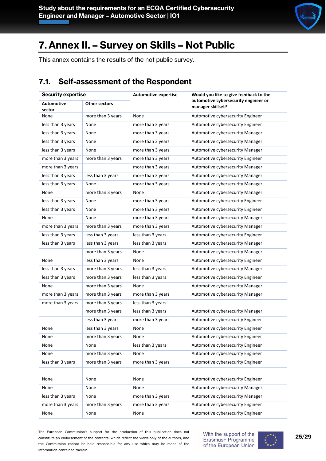

# <span id="page-24-0"></span>**7. Annex II. – Survey on Skills – Not Public**

This annex contains the results of the not public survey.

### <span id="page-24-1"></span>**7.1. Self-assessment of the Respondent**

| <b>Security expertise</b>   |                      | <b>Automotive expertise</b> | Would you like to give feedback to the                    |  |
|-----------------------------|----------------------|-----------------------------|-----------------------------------------------------------|--|
| <b>Automotive</b><br>sector | <b>Other sectors</b> |                             | automotive cybersecurity engineer or<br>manager skillset? |  |
| None                        | more than 3 years    | None                        | Automotive cybersecurity Engineer                         |  |
| less than 3 years           | None                 | more than 3 years           | Automotive cybersecurity Engineer                         |  |
| less than 3 years           | None                 | more than 3 years           | Automotive cybersecurity Manager                          |  |
| less than 3 years           | None                 | more than 3 years           | Automotive cybersecurity Manager                          |  |
| less than 3 years           | None                 | more than 3 years           | Automotive cybersecurity Manager                          |  |
| more than 3 years           | more than 3 years    | more than 3 years           | Automotive cybersecurity Engineer                         |  |
| more than 3 years           |                      | more than 3 years           | Automotive cybersecurity Manager                          |  |
| less than 3 years           | less than 3 years    | more than 3 years           | Automotive cybersecurity Manager                          |  |
| less than 3 years           | None                 | more than 3 years           | Automotive cybersecurity Manager                          |  |
| None                        | more than 3 years    | None                        | Automotive cybersecurity Manager                          |  |
| less than 3 years           | None                 | more than 3 years           | Automotive cybersecurity Engineer                         |  |
| less than 3 years           | None                 | more than 3 years           | Automotive cybersecurity Engineer                         |  |
| None                        | None                 | more than 3 years           | Automotive cybersecurity Manager                          |  |
| more than 3 years           | more than 3 years    | more than 3 years           | Automotive cybersecurity Manager                          |  |
| less than 3 years           | less than 3 years    | less than 3 years           | Automotive cybersecurity Engineer                         |  |
| less than 3 years           | less than 3 years    | less than 3 years           | Automotive cybersecurity Manager                          |  |
|                             | more than 3 years    | None                        | Automotive cybersecurity Manager                          |  |
| None                        | less than 3 years    | None                        | Automotive cybersecurity Engineer                         |  |
| less than 3 years           | more than 3 years    | less than 3 years           | Automotive cybersecurity Manager                          |  |
| less than 3 years           | more than 3 years    | less than 3 years           | Automotive cybersecurity Engineer                         |  |
| None                        | more than 3 years    | None                        | Automotive cybersecurity Manager                          |  |
| more than 3 years           | more than 3 years    | more than 3 years           | Automotive cybersecurity Manager                          |  |
| more than 3 years           | more than 3 years    | less than 3 years           |                                                           |  |
|                             | more than 3 years    | less than 3 years           | Automotive cybersecurity Manager                          |  |
|                             | less than 3 years    | more than 3 years           | Automotive cybersecurity Engineer                         |  |
| None                        | less than 3 years    | None                        | Automotive cybersecurity Engineer                         |  |
| None                        | more than 3 years    | None                        | Automotive cybersecurity Engineer                         |  |
| None                        | None                 | less than 3 years           | Automotive cybersecurity Engineer                         |  |
| None                        | more than 3 years    | None                        | Automotive cybersecurity Engineer                         |  |
| less than 3 years           | more than 3 years    | more than 3 years           | Automotive cybersecurity Engineer                         |  |
|                             |                      |                             |                                                           |  |
| None                        | None                 | None                        | Automotive cybersecurity Engineer                         |  |
| None                        | None                 | None                        | Automotive cybersecurity Manager                          |  |
| less than 3 years           | None                 | more than 3 years           | Automotive cybersecurity Manager                          |  |
| more than 3 years           | more than 3 years    | more than 3 years           | Automotive cybersecurity Engineer                         |  |
| None                        | None                 | None                        | Automotive cybersecurity Engineer                         |  |

The European Commission's support for the production of this publication does not constitute an endorsement of the contents, which reflect the views only of the authors, and the Commission cannot be held responsible for any use which may be made of the information contained therein.

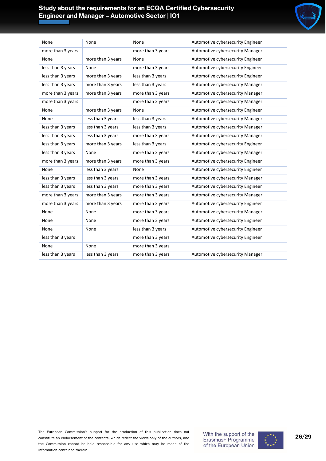#### **Study about the requirements for an ECQA Certified Cybersecurity Engineer and Manager – Automotive Sector | IO1**



| None              | None              | None              | Automotive cybersecurity Engineer |
|-------------------|-------------------|-------------------|-----------------------------------|
| more than 3 years |                   | more than 3 years | Automotive cybersecurity Manager  |
| None              | more than 3 years | None              | Automotive cybersecurity Engineer |
| less than 3 years | None              | more than 3 years | Automotive cybersecurity Engineer |
| less than 3 years | more than 3 years | less than 3 years | Automotive cybersecurity Engineer |
| less than 3 years | more than 3 years | less than 3 years | Automotive cybersecurity Manager  |
| more than 3 years | more than 3 years | more than 3 years | Automotive cybersecurity Manager  |
| more than 3 years |                   | more than 3 years | Automotive cybersecurity Manager  |
| None              | more than 3 years | None              | Automotive cybersecurity Engineer |
| None              | less than 3 years | less than 3 years | Automotive cybersecurity Manager  |
| less than 3 years | less than 3 years | less than 3 years | Automotive cybersecurity Manager  |
| less than 3 years | less than 3 years | more than 3 years | Automotive cybersecurity Manager  |
| less than 3 years | more than 3 years | less than 3 years | Automotive cybersecurity Engineer |
| less than 3 years | None              | more than 3 years | Automotive cybersecurity Manager  |
| more than 3 years | more than 3 years | more than 3 years | Automotive cybersecurity Engineer |
| None              | less than 3 years | None              | Automotive cybersecurity Engineer |
| less than 3 years | less than 3 years | more than 3 years | Automotive cybersecurity Manager  |
| less than 3 years | less than 3 years | more than 3 years | Automotive cybersecurity Engineer |
| more than 3 years | more than 3 years | more than 3 years | Automotive cybersecurity Manager  |
| more than 3 years | more than 3 years | more than 3 years | Automotive cybersecurity Engineer |
| None              | None              | more than 3 years | Automotive cybersecurity Manager  |
| None              | None              | more than 3 years | Automotive cybersecurity Engineer |
| None              | None              | less than 3 years | Automotive cybersecurity Engineer |
| less than 3 years |                   | more than 3 years | Automotive cybersecurity Engineer |
| None              | None              | more than 3 years |                                   |
| less than 3 years | less than 3 years | more than 3 years | Automotive cybersecurity Manager  |

The European Commission's support for the production of this publication does not constitute an endorsement of the contents, which reflect the views only of the authors, and the Commission cannot be held responsible for any use which may be made of the information contained therein.



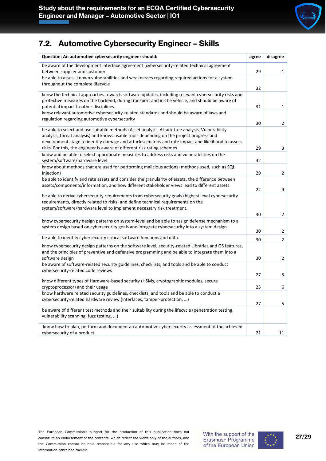

#### <span id="page-26-0"></span>**7.2. Automotive Cybersecurity Engineer – Skills**

| Question: An automotive cybersecurity engineer should:                                                                                                                                                                                                                                                                                                                      | agree    | disagree       |
|-----------------------------------------------------------------------------------------------------------------------------------------------------------------------------------------------------------------------------------------------------------------------------------------------------------------------------------------------------------------------------|----------|----------------|
| be aware of the development interface agreement (cybersecurity-related technical agreement<br>between supplier and customer                                                                                                                                                                                                                                                 | 29       | $\mathbf{1}$   |
| be able to assess known vulnerabilities and weaknesses regarding required actions for a system<br>throughout the complete lifecycle                                                                                                                                                                                                                                         | 32       |                |
| know the technical approaches towards software updates, including relevant cybersecurity risks and<br>protective measures on the backend, during transport and in-the vehicle, and should be aware of<br>potential impact to other disciplines                                                                                                                              | 31       | $\mathbf{1}$   |
| know relevant automotive cybersecurity-related standards and should be aware of laws and<br>regulation regarding automotive cybersecurity                                                                                                                                                                                                                                   | 30       | $\overline{2}$ |
| be able to select and use suitable methods (Asset analysis, Attack tree analysis, Vulnerability<br>analysis, threat analysis) and knows usable tools depending on the project progress and<br>development stage to identify damage and attack scenarios and rate impact and likelihood to assess<br>risks. For this, the engineer is aware of different risk rating schemes | 29       | 3              |
| know and be able to select appropriate measures to address risks and vulnerabilities on the<br>system/software/hardware level.                                                                                                                                                                                                                                              | 32       |                |
| know about methods that are used for performing malicious actions (methods used, such as SQL<br>Injection)                                                                                                                                                                                                                                                                  | 29       | 2              |
| be able to identify and rate assets and consider the granularity of assets, the difference between<br>assets/components/information, and how different stakeholder views lead to different assets                                                                                                                                                                           | 22       | 9              |
| be able to derive cybersecurity requirements from cybersecurity goals (highest level cybersecurity<br>requirements, directly related to risks) and define technical requirements on the<br>system/software/hardware level to implement necessary risk treatment.                                                                                                            |          |                |
|                                                                                                                                                                                                                                                                                                                                                                             | 30       | $\overline{2}$ |
| know cybersecurity design patterns on system-level and be able to assign defense mechanism to a<br>system design based on cybersecurity goals and integrate cybersecurity into a system design.                                                                                                                                                                             | 30       | 2              |
| be able to identify cybersecurity critical software functions and data.                                                                                                                                                                                                                                                                                                     | 30       | $\overline{2}$ |
| know cybersecurity design patterns on the software level, security-related Libraries and OS features,<br>and the principles of preventive and defensive programming and be able to integrate them into a<br>software design                                                                                                                                                 | 30       | 2              |
| be aware of software-related security guidelines, checklists, and tools and be able to conduct<br>cybersecurity-related code reviews                                                                                                                                                                                                                                        |          |                |
| know different types of Hardware-based security (HSMs, cryptographic modules, secure<br>cryptoprocessor) and their usage                                                                                                                                                                                                                                                    | 27<br>25 | 5<br>6         |
| know hardware related security guidelines, checklists, and tools and be able to conduct a<br>cybersecurity-related hardware review (interfaces, tamper-protection, )                                                                                                                                                                                                        | 27       | 5              |
| be aware of different test methods and their suitability during the lifecycle (penetration testing,<br>vulnerability scanning, fuzz testing, )                                                                                                                                                                                                                              |          |                |
| know how to plan, perform and document an automotive cybersecurity assessment of the achieved<br>cybersecurity of a product                                                                                                                                                                                                                                                 | 21       | 11             |

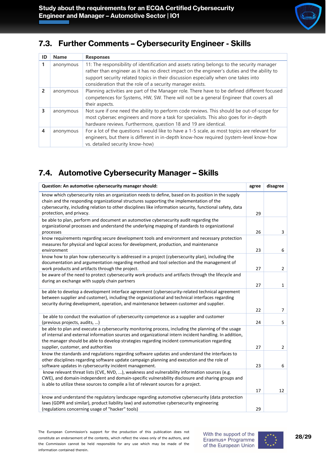

### <span id="page-27-0"></span>**7.3. Further Comments – Cybersecurity Engineer - Skills**

| ID | <b>Name</b> | <b>Responses</b>                                                                                                                                                                                                                                                                                                                             |
|----|-------------|----------------------------------------------------------------------------------------------------------------------------------------------------------------------------------------------------------------------------------------------------------------------------------------------------------------------------------------------|
|    | anonymous   | 11: The responsibility of identification and assets rating belongs to the security manager<br>rather than engineer as it has no direct impact on the engineer's duties and the ability to<br>support security related topics in their discussion especially when one takes into<br>consideration that the role of a security manager exists. |
| 2  | anonymous   | Planning activities are part of the Manager role. There have to be defined different focused<br>competences for Systems, HW, SW. There will not be a general Engineer that covers all<br>their aspects.                                                                                                                                      |
| 3  | anonymous   | Not sure if one need the ability to perform code reviews. This should be out-of-scope for<br>most cybersec engineers and more a task for specialists. This also goes for in-depth<br>hardware reviews. Furthermore, question 18 and 19 are identical.                                                                                        |
| 4  | anonymous   | For a lot of the questions I would like to have a 1-5 scale, as most topics are relevant for<br>engineers, but there is different in in-depth know-how required (system-level know-how<br>vs. detailed security know-how)                                                                                                                    |

### <span id="page-27-1"></span>**7.4. Automotive Cybersecurity Manager – Skills**

| Question: An automotive cybersecurity manager should:                                                                                                                                                                                                                                                                                               | agree | disagree       |
|-----------------------------------------------------------------------------------------------------------------------------------------------------------------------------------------------------------------------------------------------------------------------------------------------------------------------------------------------------|-------|----------------|
| know which cybersecurity roles an organization needs to define, based on its position in the supply<br>chain and the responding organizational structures supporting the implementation of the<br>cybersecurity, including relation to other disciplines like information security, functional safety, data                                         |       |                |
| protection, and privacy.                                                                                                                                                                                                                                                                                                                            | 29    |                |
| be able to plan, perform and document an automotive cybersecurity audit regarding the<br>organizational processes and understand the underlying mapping of standards to organizational<br>processes                                                                                                                                                 | 26    | 3              |
| know requirements regarding secure development tools and environment and necessary protection<br>measures for physical and logical access for development, production, and maintenance<br>environment                                                                                                                                               | 23    | 6              |
| know how to plan how cybersecurity is addressed in a project (cybersecurity plan), including the<br>documentation and argumentation regarding method and tool selection and the management of<br>work products and artifacts through the project.                                                                                                   | 27    | $\overline{2}$ |
| be aware of the need to protect cybersecurity work products and artifacts through the lifecycle and<br>during an exchange with supply chain partners                                                                                                                                                                                                | 27    | $\mathbf{1}$   |
| be able to develop a development interface agreement (cybersecurity-related technical agreement<br>between supplier and customer), including the organizational and technical interfaces regarding<br>security during development, operation, and maintenance between customer and supplier.                                                        |       |                |
|                                                                                                                                                                                                                                                                                                                                                     | 22    | $\overline{7}$ |
| be able to conduct the evaluation of cybersecurity competence as a supplier and customer<br>(previous projects, audits, )                                                                                                                                                                                                                           | 24    | 5              |
| be able to plan and execute a cybersecurity monitoring process, including the planning of the usage<br>of internal and external information sources and organizational intern incident handling. In addition,<br>the manager should be able to develop strategies regarding incident communication regarding<br>supplier, customer, and authorities | 27    | $\overline{2}$ |
| know the standards and regulations regarding software updates and understand the interfaces to<br>other disciplines regarding software update campaign planning and execution and the role of<br>software updates in cybersecurity incident management.                                                                                             | 23    | 6              |
| know relevant threat lists (CVE, NVD, ), weakness and vulnerability information sources (e.g.<br>CWE), and domain-independent and domain-specific vulnerability disclosure and sharing groups and<br>is able to utilize these sources to compile a list of relevant sources for a project.                                                          |       |                |
|                                                                                                                                                                                                                                                                                                                                                     | 17    | 12             |
| know and understand the regulatory landscape regarding automotive cybersecurity (data protection<br>laws (GDPR and similar), product liability law) and automotive cybersecurity engineering<br>(regulations concerning usage of "hacker" tools)                                                                                                    | 29    |                |

The European Commission's support for the production of this publication does not constitute an endorsement of the contents, which reflect the views only of the authors, and the Commission cannot be held responsible for any use which may be made of the information contained therein.